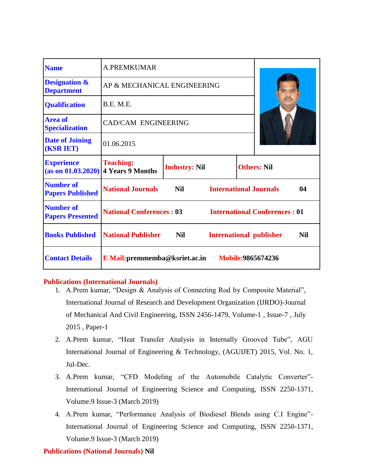| <b>Name</b>                                   | <b>A.PREMKUMAR</b>                                                      |                      |                               |  |                                |            |
|-----------------------------------------------|-------------------------------------------------------------------------|----------------------|-------------------------------|--|--------------------------------|------------|
| <b>Designation &amp;</b><br><b>Department</b> | AP & MECHANICAL ENGINEERING                                             |                      |                               |  |                                |            |
| <b>Qualification</b>                          | <b>B.E. M.E.</b>                                                        |                      |                               |  |                                |            |
| <b>Area of</b><br><b>Specialization</b>       | <b>CAD/CAM ENGINEERING</b>                                              |                      |                               |  |                                |            |
| <b>Date of Joining</b><br><b>(KSR IET)</b>    | 01.06.2015                                                              |                      |                               |  |                                |            |
| <b>Experience</b>                             | <b>Teaching:</b><br>(as on $01.03.2020$ )   4 Years 9 Months            | <b>Industry: Nil</b> |                               |  | <b>Others: Nil</b>             |            |
| <b>Number of</b><br><b>Papers Published</b>   | <b>National Journals</b>                                                | <b>Nil</b>           | <b>International Journals</b> |  |                                | 04         |
| <b>Number of</b><br><b>Papers Presented</b>   | <b>National Conferences: 03</b><br><b>International Conferences: 01</b> |                      |                               |  |                                |            |
| <b>Books Published</b>                        | <b>National Publisher</b>                                               | <b>Nil</b>           |                               |  | <b>International publisher</b> | <b>Nil</b> |
| <b>Contact Details</b>                        | E Mail: premmemba@ksriet.ac.in                                          |                      |                               |  | <b>Mobile:9865674236</b>       |            |

## **Publications (International Journals)**

- 1. A.Prem kumar, "Design & Analysis of Connecting Rod by Composite Material", International Journal of Research and Development Organization (IJRDO)-Journal of Mechanical And Civil Engineering, ISSN 2456-1479, Volume-1 , Issue-7 , July 2015 , Paper-1
- 2. A.Prem kumar, "Heat Transfer Analysis in Internally Grooved Tube", AGU International Journal of Engineering & Technology, (AGUIJET) 2015, Vol. No. 1, Jul-Dec.
- 3. A.Prem kumar, "CFD Modeling of the Automobile Catalytic Converter"- International Journal of Engineering Science and Computing, ISSN 2250-1371, Volume.9 Issue-3 (March 2019)
- 4. A.Prem kumar, "Performance Analysis of Biodiesel Blends using C.I Engine"- International Journal of Engineering Science and Computing, ISSN 2250-1371, Volume.9 Issue-3 (March 2019)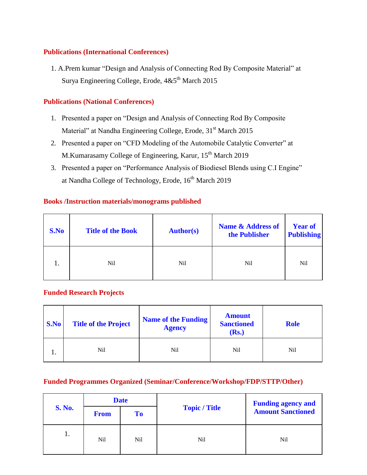#### **Publications (International Conferences)**

1. A.Prem kumar "Design and Analysis of Connecting Rod By Composite Material" at Surya Engineering College, Erode, 4&5<sup>th</sup> March 2015

#### **Publications (National Conferences)**

- 1. Presented a paper on "Design and Analysis of Connecting Rod By Composite Material" at Nandha Engineering College, Erode, 31<sup>st</sup> March 2015
- 2. Presented a paper on "CFD Modeling of the Automobile Catalytic Converter" at M.Kumarasamy College of Engineering, Karur, 15<sup>th</sup> March 2019
- 3. Presented a paper on "Performance Analysis of Biodiesel Blends using C.I Engine" at Nandha College of Technology, Erode,  $16<sup>th</sup>$  March 2019

## **Books /Instruction materials/monograms published**

| S.No | <b>Title of the Book</b> | <b>Author(s)</b> | <b>Name &amp; Address of</b><br>the Publisher | <b>Year of</b><br><b>Publishing</b> |
|------|--------------------------|------------------|-----------------------------------------------|-------------------------------------|
|      | Nil                      | Nil              | Nil                                           | Nil                                 |

#### **Funded Research Projects**

| S.No | <b>Title of the Project</b> | <b>Name of the Funding</b><br><b>Agency</b> | <b>Amount</b><br><b>Sanctioned</b><br>(Rs.) | <b>Role</b> |
|------|-----------------------------|---------------------------------------------|---------------------------------------------|-------------|
|      | Nil                         | Nil                                         | Nil                                         | Nil         |

#### **Funded Programmes Organized (Seminar/Conference/Workshop/FDP/STTP/Other)**

|               | <b>Date</b>     |     |                      | <b>Funding agency and</b> |  |
|---------------|-----------------|-----|----------------------|---------------------------|--|
| <b>S. No.</b> | <b>From</b>     | To  | <b>Topic / Title</b> | <b>Amount Sanctioned</b>  |  |
| Ī.            | N <sub>il</sub> | Nil | Nil                  | Nil                       |  |